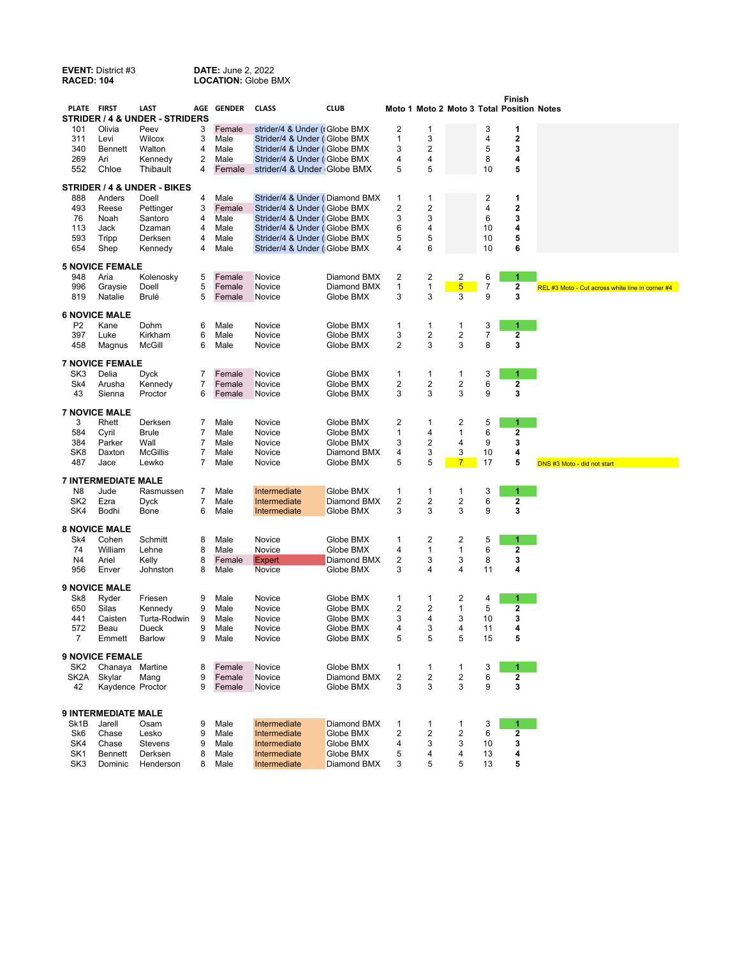**EVENT:** District #3 **DATE:** June 2, 2022<br> **RACED: 104 LOCATION:** Globe B

**LOCATION: Globe BMX** 

| Moto 1 Moto 2 Moto 3 Total Position Notes<br>STRIDER / 4 & UNDER - STRIDERS<br>Olivia<br>Female<br>strider/4 & Under (rGlobe BMX<br>2<br>3<br>1<br>101<br>Peev<br>3<br>1<br>3<br>2<br>311<br>3<br>Male<br>Strider/4 & Under (Globe BMX<br>1<br>4<br>Levi<br>Wilcox<br>3<br>2<br>5<br>3<br>340<br>4<br>Strider/4 & Under (Globe BMX<br>Bennett<br>Walton<br>Male<br>2<br>4<br>269<br>Male<br>4<br>8<br>Ari<br>Kennedy<br>Strider/4 & Under (Globe BMX)<br>4<br>5<br>5<br>5<br>552<br>Chloe<br>Thibault<br>4<br>Female<br>strider/4 & Under Globe BMX<br>10<br><b>STRIDER / 4 &amp; UNDER - BIKES</b><br>$\overline{c}$<br>888<br>4<br>Male<br>1<br>1<br>1<br>Anders<br>Doell<br>Strider/4 & Under (Diamond BMX)<br>$\overline{\mathbf{c}}$<br>2<br>2<br>493<br>3<br>Female<br>4<br>Reese<br>Pettinger<br>Strider/4 & Under (Globe BMX)<br>3<br>3<br>6<br>3<br>Santoro<br>4<br>Male<br>76<br>Noah<br>Strider/4 & Under (Globe BMX<br>4<br>113<br>Dzaman<br>4<br>Male<br>Strider/4 & Under (Globe BMX<br>6<br>4<br>10<br>Jack<br>5<br>5<br>593<br>4<br>5<br>10<br>Tripp<br>Derksen<br>Male<br>Strider/4 & Under (Globe BMX<br>6<br>Shep<br>Male<br>10<br>6<br>654<br>Kennedy<br>4<br>Strider/4 & Under (Globe BMX)<br>4<br><b>5 NOVICE FEMALE</b><br>2<br>2<br>2<br>6<br>1<br>948<br>Aria<br>Kolenosky<br>5<br>Female<br>Novice<br>Diamond BMX<br>5<br>1<br>$\overline{7}$<br>$\mathbf{1}$<br>$\overline{5}$<br>2<br>996<br>Female<br>Diamond BMX<br>Graysie<br>Doell<br>Novice<br>REL #3 Moto - Cut across white line in corner #4<br>3<br>5<br>3<br>3<br>3<br>9<br>819<br>Natalie<br><b>Brulé</b><br>Female<br>Globe BMX<br>Novice<br><b>6 NOVICE MALE</b><br>Globe BMX<br>3<br>P <sub>2</sub><br>Kane<br>Dohm<br>6<br>Male<br>Novice<br>1<br>1<br>1<br>1<br>7<br>3<br>2<br>2<br>2<br>397<br>Luke<br>Kirkham<br>6<br>Male<br>Novice<br>Globe BMX<br>3<br>8<br>458<br>6<br>Male<br>2<br>3<br>3<br>Magnus<br>McGill<br>Novice<br>Globe BMX<br><b>7 NOVICE FEMALE</b><br>3<br>SK <sub>3</sub><br>Globe BMX<br>Delia<br>Dyck<br>7<br>Female<br>Novice<br>1<br>1<br>1<br>1<br>2<br>2<br>2<br>6<br>Sk4<br>7<br>Female<br>Globe BMX<br>2<br>Arusha<br>Kennedy<br>Novice<br>3<br>9<br>3<br>Sienna<br>3<br>3<br>43<br>Proctor<br>6<br>Female<br>Novice<br>Globe BMX<br><b>7 NOVICE MALE</b><br>$\overline{\mathbf{c}}$<br>5<br>Male<br>Globe BMX<br>1<br>2<br>3<br>Rhett<br>Derksen<br>7<br>Novice<br>1<br>584<br>7<br>Male<br>Globe BMX<br>1<br>4<br>1<br>6<br>2<br>Cyril<br><b>Brule</b><br>Novice<br>2<br>9<br>3<br>7<br>3<br>384<br>Parker<br>Wall<br>Male<br>Novice<br>Globe BMX<br>4<br>3<br>3<br>4<br>SK <sub>8</sub><br><b>McGillis</b><br>7<br>Diamond BMX<br>4<br>10<br>Daxton<br>Male<br>Novice<br>5<br>5<br>5<br>487<br>7<br>Globe BMX<br>$\overline{7}$<br>17<br>Jace<br>Lewko<br>Male<br>Novice<br>DNS #3 Moto - did not start<br><b>7 INTERMEDIATE MALE</b><br>N <sub>8</sub><br>Male<br>Intermediate<br>Globe BMX<br>1<br>3<br>1.<br>Jude<br>Rasmussen<br>7<br>1<br>1<br>7<br>2<br>2<br>6<br>SK <sub>2</sub><br>Ezra<br>Male<br>Intermediate<br>Diamond BMX<br>2<br>2<br><b>Dyck</b><br>3<br>3<br>3<br>9<br>3<br>SK4<br>6<br>Male<br>Bodhi<br>Bone<br>Intermediate<br>Globe BMX<br><b>8 NOVICE MALE</b><br>2<br>5<br>Sk4<br>Male<br>Globe BMX<br>2<br>Cohen<br>Schmitt<br>8<br>Novice<br>1<br>1<br>6<br>$\mathbf 2$<br>William<br>8<br>Male<br>Novice<br>Globe BMX<br>$\mathbf{1}$<br>74<br>Lehne<br>4<br>1<br>8<br>2<br>3<br>3<br>8<br>3<br>N4<br>Ariel<br>Kelly<br>Female<br>Expert<br>Diamond BMX<br>4<br>956<br>8<br>Male<br>3<br>4<br>4<br>11<br>Enver<br>Johnston<br>Novice<br>Globe BMX<br><b>9 NOVICE MALE</b><br>Globe BMX<br>2<br>Sk8<br>Ryder<br>Friesen<br>9<br>Male<br>Novice<br>1<br>1<br>4<br>1<br>9<br>2<br>2<br>5<br>650<br>Silas<br>Globe BMX<br>1<br>2<br>Kennedy<br>Male<br>Novice<br>3<br>Turta-Rodwin<br>9<br>3<br>3<br>441<br>Caisten<br>Male<br>Novice<br>Globe BMX<br>4<br>10<br>572<br>9<br>3<br>11<br>4<br>Beau<br>Dueck<br>Male<br>Novice<br>Globe BMX<br>4<br>4<br>5<br>5<br>5<br>15<br>7<br>Male<br>Globe BMX<br>5<br>Emmett<br><b>Barlow</b><br>9<br>Novice<br><b>9 NOVICE FEMALE</b><br>Globe BMX<br>SK <sub>2</sub><br>Chanaya Martine<br>Female<br>Novice<br>1<br>3<br>8<br>1<br>1<br>1<br>2<br>$\overline{\mathbf{c}}$<br>6<br>SK <sub>2</sub> A<br>Skylar<br>9<br>Female<br>Novice<br>Diamond BMX<br>2<br>2<br>Mang<br>9<br>3<br>3<br>3<br>3<br>42<br>Kaydence Proctor<br>9<br>Female<br>Novice<br>Globe BMX<br><b>9 INTERMEDIATE MALE</b><br>Sk1B<br>Jarell<br>Intermediate<br>Diamond BMX<br>3<br>Osam<br>9<br>Male<br>1<br>1<br>1<br>1<br>2<br>6<br>Sk <sub>6</sub><br>Chase<br>Lesko<br>9<br>Male<br>Intermediate<br>Globe BMX<br>2<br>2<br>2<br>SK4<br>9<br>Male<br>Intermediate<br>Globe BMX<br>3<br>3<br>10<br>3<br>Chase<br>Stevens<br>4<br>SK <sub>1</sub><br><b>Bennett</b><br>Derksen<br>8<br>Intermediate<br>Globe BMX<br>5<br>4<br>Male<br>4<br>4<br>13<br>5<br>5<br>SK <sub>3</sub><br>Dominic<br>Henderson<br>8<br>Male<br>Intermediate<br>Diamond BMX<br>3<br>5<br>13 | PLATE FIRST | LAST | AGE GENDER | <b>CLASS</b> | <b>CLUB</b> |  |  | Finish |  |
|---------------------------------------------------------------------------------------------------------------------------------------------------------------------------------------------------------------------------------------------------------------------------------------------------------------------------------------------------------------------------------------------------------------------------------------------------------------------------------------------------------------------------------------------------------------------------------------------------------------------------------------------------------------------------------------------------------------------------------------------------------------------------------------------------------------------------------------------------------------------------------------------------------------------------------------------------------------------------------------------------------------------------------------------------------------------------------------------------------------------------------------------------------------------------------------------------------------------------------------------------------------------------------------------------------------------------------------------------------------------------------------------------------------------------------------------------------------------------------------------------------------------------------------------------------------------------------------------------------------------------------------------------------------------------------------------------------------------------------------------------------------------------------------------------------------------------------------------------------------------------------------------------------------------------------------------------------------------------------------------------------------------------------------------------------------------------------------------------------------------------------------------------------------------------------------------------------------------------------------------------------------------------------------------------------------------------------------------------------------------------------------------------------------------------------------------------------------------------------------------------------------------------------------------------------------------------------------------------------------------------------------------------------------------------------------------------------------------------------------------------------------------------------------------------------------------------------------------------------------------------------------------------------------------------------------------------------------------------------------------------------------------------------------------------------------------------------------------------------------------------------------------------------------------------------------------------------------------------------------------------------------------------------------------------------------------------------------------------------------------------------------------------------------------------------------------------------------------------------------------------------------------------------------------------------------------------------------------------------------------------------------------------------------------------------------------------------------------------------------------------------------------------------------------------------------------------------------------------------------------------------------------------------------------------------------------------------------------------------------------------------------------------------------------------------------------------------------------------------------------------------------------------------------------------------------------------------------------------------------------------------------------------------------------------------------------------------------------------------------------------------------------------------------------------------------------------------------------------------------------------------------------------------------------------------------------------------------------------------------------------------------------------------------------------------------------------------------------------------------------------------------------------------------------------------------------------------------------------------------------------------------------------------------------------------------------------------------------------------------------------------------------------------|-------------|------|------------|--------------|-------------|--|--|--------|--|
|                                                                                                                                                                                                                                                                                                                                                                                                                                                                                                                                                                                                                                                                                                                                                                                                                                                                                                                                                                                                                                                                                                                                                                                                                                                                                                                                                                                                                                                                                                                                                                                                                                                                                                                                                                                                                                                                                                                                                                                                                                                                                                                                                                                                                                                                                                                                                                                                                                                                                                                                                                                                                                                                                                                                                                                                                                                                                                                                                                                                                                                                                                                                                                                                                                                                                                                                                                                                                                                                                                                                                                                                                                                                                                                                                                                                                                                                                                                                                                                                                                                                                                                                                                                                                                                                                                                                                                                                                                                                                                                                                                                                                                                                                                                                                                                                                                                                                                                                                                                                                                 |             |      |            |              |             |  |  |        |  |
|                                                                                                                                                                                                                                                                                                                                                                                                                                                                                                                                                                                                                                                                                                                                                                                                                                                                                                                                                                                                                                                                                                                                                                                                                                                                                                                                                                                                                                                                                                                                                                                                                                                                                                                                                                                                                                                                                                                                                                                                                                                                                                                                                                                                                                                                                                                                                                                                                                                                                                                                                                                                                                                                                                                                                                                                                                                                                                                                                                                                                                                                                                                                                                                                                                                                                                                                                                                                                                                                                                                                                                                                                                                                                                                                                                                                                                                                                                                                                                                                                                                                                                                                                                                                                                                                                                                                                                                                                                                                                                                                                                                                                                                                                                                                                                                                                                                                                                                                                                                                                                 |             |      |            |              |             |  |  |        |  |
|                                                                                                                                                                                                                                                                                                                                                                                                                                                                                                                                                                                                                                                                                                                                                                                                                                                                                                                                                                                                                                                                                                                                                                                                                                                                                                                                                                                                                                                                                                                                                                                                                                                                                                                                                                                                                                                                                                                                                                                                                                                                                                                                                                                                                                                                                                                                                                                                                                                                                                                                                                                                                                                                                                                                                                                                                                                                                                                                                                                                                                                                                                                                                                                                                                                                                                                                                                                                                                                                                                                                                                                                                                                                                                                                                                                                                                                                                                                                                                                                                                                                                                                                                                                                                                                                                                                                                                                                                                                                                                                                                                                                                                                                                                                                                                                                                                                                                                                                                                                                                                 |             |      |            |              |             |  |  |        |  |
|                                                                                                                                                                                                                                                                                                                                                                                                                                                                                                                                                                                                                                                                                                                                                                                                                                                                                                                                                                                                                                                                                                                                                                                                                                                                                                                                                                                                                                                                                                                                                                                                                                                                                                                                                                                                                                                                                                                                                                                                                                                                                                                                                                                                                                                                                                                                                                                                                                                                                                                                                                                                                                                                                                                                                                                                                                                                                                                                                                                                                                                                                                                                                                                                                                                                                                                                                                                                                                                                                                                                                                                                                                                                                                                                                                                                                                                                                                                                                                                                                                                                                                                                                                                                                                                                                                                                                                                                                                                                                                                                                                                                                                                                                                                                                                                                                                                                                                                                                                                                                                 |             |      |            |              |             |  |  |        |  |
|                                                                                                                                                                                                                                                                                                                                                                                                                                                                                                                                                                                                                                                                                                                                                                                                                                                                                                                                                                                                                                                                                                                                                                                                                                                                                                                                                                                                                                                                                                                                                                                                                                                                                                                                                                                                                                                                                                                                                                                                                                                                                                                                                                                                                                                                                                                                                                                                                                                                                                                                                                                                                                                                                                                                                                                                                                                                                                                                                                                                                                                                                                                                                                                                                                                                                                                                                                                                                                                                                                                                                                                                                                                                                                                                                                                                                                                                                                                                                                                                                                                                                                                                                                                                                                                                                                                                                                                                                                                                                                                                                                                                                                                                                                                                                                                                                                                                                                                                                                                                                                 |             |      |            |              |             |  |  |        |  |
|                                                                                                                                                                                                                                                                                                                                                                                                                                                                                                                                                                                                                                                                                                                                                                                                                                                                                                                                                                                                                                                                                                                                                                                                                                                                                                                                                                                                                                                                                                                                                                                                                                                                                                                                                                                                                                                                                                                                                                                                                                                                                                                                                                                                                                                                                                                                                                                                                                                                                                                                                                                                                                                                                                                                                                                                                                                                                                                                                                                                                                                                                                                                                                                                                                                                                                                                                                                                                                                                                                                                                                                                                                                                                                                                                                                                                                                                                                                                                                                                                                                                                                                                                                                                                                                                                                                                                                                                                                                                                                                                                                                                                                                                                                                                                                                                                                                                                                                                                                                                                                 |             |      |            |              |             |  |  |        |  |
|                                                                                                                                                                                                                                                                                                                                                                                                                                                                                                                                                                                                                                                                                                                                                                                                                                                                                                                                                                                                                                                                                                                                                                                                                                                                                                                                                                                                                                                                                                                                                                                                                                                                                                                                                                                                                                                                                                                                                                                                                                                                                                                                                                                                                                                                                                                                                                                                                                                                                                                                                                                                                                                                                                                                                                                                                                                                                                                                                                                                                                                                                                                                                                                                                                                                                                                                                                                                                                                                                                                                                                                                                                                                                                                                                                                                                                                                                                                                                                                                                                                                                                                                                                                                                                                                                                                                                                                                                                                                                                                                                                                                                                                                                                                                                                                                                                                                                                                                                                                                                                 |             |      |            |              |             |  |  |        |  |
|                                                                                                                                                                                                                                                                                                                                                                                                                                                                                                                                                                                                                                                                                                                                                                                                                                                                                                                                                                                                                                                                                                                                                                                                                                                                                                                                                                                                                                                                                                                                                                                                                                                                                                                                                                                                                                                                                                                                                                                                                                                                                                                                                                                                                                                                                                                                                                                                                                                                                                                                                                                                                                                                                                                                                                                                                                                                                                                                                                                                                                                                                                                                                                                                                                                                                                                                                                                                                                                                                                                                                                                                                                                                                                                                                                                                                                                                                                                                                                                                                                                                                                                                                                                                                                                                                                                                                                                                                                                                                                                                                                                                                                                                                                                                                                                                                                                                                                                                                                                                                                 |             |      |            |              |             |  |  |        |  |
|                                                                                                                                                                                                                                                                                                                                                                                                                                                                                                                                                                                                                                                                                                                                                                                                                                                                                                                                                                                                                                                                                                                                                                                                                                                                                                                                                                                                                                                                                                                                                                                                                                                                                                                                                                                                                                                                                                                                                                                                                                                                                                                                                                                                                                                                                                                                                                                                                                                                                                                                                                                                                                                                                                                                                                                                                                                                                                                                                                                                                                                                                                                                                                                                                                                                                                                                                                                                                                                                                                                                                                                                                                                                                                                                                                                                                                                                                                                                                                                                                                                                                                                                                                                                                                                                                                                                                                                                                                                                                                                                                                                                                                                                                                                                                                                                                                                                                                                                                                                                                                 |             |      |            |              |             |  |  |        |  |
|                                                                                                                                                                                                                                                                                                                                                                                                                                                                                                                                                                                                                                                                                                                                                                                                                                                                                                                                                                                                                                                                                                                                                                                                                                                                                                                                                                                                                                                                                                                                                                                                                                                                                                                                                                                                                                                                                                                                                                                                                                                                                                                                                                                                                                                                                                                                                                                                                                                                                                                                                                                                                                                                                                                                                                                                                                                                                                                                                                                                                                                                                                                                                                                                                                                                                                                                                                                                                                                                                                                                                                                                                                                                                                                                                                                                                                                                                                                                                                                                                                                                                                                                                                                                                                                                                                                                                                                                                                                                                                                                                                                                                                                                                                                                                                                                                                                                                                                                                                                                                                 |             |      |            |              |             |  |  |        |  |
|                                                                                                                                                                                                                                                                                                                                                                                                                                                                                                                                                                                                                                                                                                                                                                                                                                                                                                                                                                                                                                                                                                                                                                                                                                                                                                                                                                                                                                                                                                                                                                                                                                                                                                                                                                                                                                                                                                                                                                                                                                                                                                                                                                                                                                                                                                                                                                                                                                                                                                                                                                                                                                                                                                                                                                                                                                                                                                                                                                                                                                                                                                                                                                                                                                                                                                                                                                                                                                                                                                                                                                                                                                                                                                                                                                                                                                                                                                                                                                                                                                                                                                                                                                                                                                                                                                                                                                                                                                                                                                                                                                                                                                                                                                                                                                                                                                                                                                                                                                                                                                 |             |      |            |              |             |  |  |        |  |
|                                                                                                                                                                                                                                                                                                                                                                                                                                                                                                                                                                                                                                                                                                                                                                                                                                                                                                                                                                                                                                                                                                                                                                                                                                                                                                                                                                                                                                                                                                                                                                                                                                                                                                                                                                                                                                                                                                                                                                                                                                                                                                                                                                                                                                                                                                                                                                                                                                                                                                                                                                                                                                                                                                                                                                                                                                                                                                                                                                                                                                                                                                                                                                                                                                                                                                                                                                                                                                                                                                                                                                                                                                                                                                                                                                                                                                                                                                                                                                                                                                                                                                                                                                                                                                                                                                                                                                                                                                                                                                                                                                                                                                                                                                                                                                                                                                                                                                                                                                                                                                 |             |      |            |              |             |  |  |        |  |
|                                                                                                                                                                                                                                                                                                                                                                                                                                                                                                                                                                                                                                                                                                                                                                                                                                                                                                                                                                                                                                                                                                                                                                                                                                                                                                                                                                                                                                                                                                                                                                                                                                                                                                                                                                                                                                                                                                                                                                                                                                                                                                                                                                                                                                                                                                                                                                                                                                                                                                                                                                                                                                                                                                                                                                                                                                                                                                                                                                                                                                                                                                                                                                                                                                                                                                                                                                                                                                                                                                                                                                                                                                                                                                                                                                                                                                                                                                                                                                                                                                                                                                                                                                                                                                                                                                                                                                                                                                                                                                                                                                                                                                                                                                                                                                                                                                                                                                                                                                                                                                 |             |      |            |              |             |  |  |        |  |
|                                                                                                                                                                                                                                                                                                                                                                                                                                                                                                                                                                                                                                                                                                                                                                                                                                                                                                                                                                                                                                                                                                                                                                                                                                                                                                                                                                                                                                                                                                                                                                                                                                                                                                                                                                                                                                                                                                                                                                                                                                                                                                                                                                                                                                                                                                                                                                                                                                                                                                                                                                                                                                                                                                                                                                                                                                                                                                                                                                                                                                                                                                                                                                                                                                                                                                                                                                                                                                                                                                                                                                                                                                                                                                                                                                                                                                                                                                                                                                                                                                                                                                                                                                                                                                                                                                                                                                                                                                                                                                                                                                                                                                                                                                                                                                                                                                                                                                                                                                                                                                 |             |      |            |              |             |  |  |        |  |
|                                                                                                                                                                                                                                                                                                                                                                                                                                                                                                                                                                                                                                                                                                                                                                                                                                                                                                                                                                                                                                                                                                                                                                                                                                                                                                                                                                                                                                                                                                                                                                                                                                                                                                                                                                                                                                                                                                                                                                                                                                                                                                                                                                                                                                                                                                                                                                                                                                                                                                                                                                                                                                                                                                                                                                                                                                                                                                                                                                                                                                                                                                                                                                                                                                                                                                                                                                                                                                                                                                                                                                                                                                                                                                                                                                                                                                                                                                                                                                                                                                                                                                                                                                                                                                                                                                                                                                                                                                                                                                                                                                                                                                                                                                                                                                                                                                                                                                                                                                                                                                 |             |      |            |              |             |  |  |        |  |
|                                                                                                                                                                                                                                                                                                                                                                                                                                                                                                                                                                                                                                                                                                                                                                                                                                                                                                                                                                                                                                                                                                                                                                                                                                                                                                                                                                                                                                                                                                                                                                                                                                                                                                                                                                                                                                                                                                                                                                                                                                                                                                                                                                                                                                                                                                                                                                                                                                                                                                                                                                                                                                                                                                                                                                                                                                                                                                                                                                                                                                                                                                                                                                                                                                                                                                                                                                                                                                                                                                                                                                                                                                                                                                                                                                                                                                                                                                                                                                                                                                                                                                                                                                                                                                                                                                                                                                                                                                                                                                                                                                                                                                                                                                                                                                                                                                                                                                                                                                                                                                 |             |      |            |              |             |  |  |        |  |
|                                                                                                                                                                                                                                                                                                                                                                                                                                                                                                                                                                                                                                                                                                                                                                                                                                                                                                                                                                                                                                                                                                                                                                                                                                                                                                                                                                                                                                                                                                                                                                                                                                                                                                                                                                                                                                                                                                                                                                                                                                                                                                                                                                                                                                                                                                                                                                                                                                                                                                                                                                                                                                                                                                                                                                                                                                                                                                                                                                                                                                                                                                                                                                                                                                                                                                                                                                                                                                                                                                                                                                                                                                                                                                                                                                                                                                                                                                                                                                                                                                                                                                                                                                                                                                                                                                                                                                                                                                                                                                                                                                                                                                                                                                                                                                                                                                                                                                                                                                                                                                 |             |      |            |              |             |  |  |        |  |
|                                                                                                                                                                                                                                                                                                                                                                                                                                                                                                                                                                                                                                                                                                                                                                                                                                                                                                                                                                                                                                                                                                                                                                                                                                                                                                                                                                                                                                                                                                                                                                                                                                                                                                                                                                                                                                                                                                                                                                                                                                                                                                                                                                                                                                                                                                                                                                                                                                                                                                                                                                                                                                                                                                                                                                                                                                                                                                                                                                                                                                                                                                                                                                                                                                                                                                                                                                                                                                                                                                                                                                                                                                                                                                                                                                                                                                                                                                                                                                                                                                                                                                                                                                                                                                                                                                                                                                                                                                                                                                                                                                                                                                                                                                                                                                                                                                                                                                                                                                                                                                 |             |      |            |              |             |  |  |        |  |
|                                                                                                                                                                                                                                                                                                                                                                                                                                                                                                                                                                                                                                                                                                                                                                                                                                                                                                                                                                                                                                                                                                                                                                                                                                                                                                                                                                                                                                                                                                                                                                                                                                                                                                                                                                                                                                                                                                                                                                                                                                                                                                                                                                                                                                                                                                                                                                                                                                                                                                                                                                                                                                                                                                                                                                                                                                                                                                                                                                                                                                                                                                                                                                                                                                                                                                                                                                                                                                                                                                                                                                                                                                                                                                                                                                                                                                                                                                                                                                                                                                                                                                                                                                                                                                                                                                                                                                                                                                                                                                                                                                                                                                                                                                                                                                                                                                                                                                                                                                                                                                 |             |      |            |              |             |  |  |        |  |
|                                                                                                                                                                                                                                                                                                                                                                                                                                                                                                                                                                                                                                                                                                                                                                                                                                                                                                                                                                                                                                                                                                                                                                                                                                                                                                                                                                                                                                                                                                                                                                                                                                                                                                                                                                                                                                                                                                                                                                                                                                                                                                                                                                                                                                                                                                                                                                                                                                                                                                                                                                                                                                                                                                                                                                                                                                                                                                                                                                                                                                                                                                                                                                                                                                                                                                                                                                                                                                                                                                                                                                                                                                                                                                                                                                                                                                                                                                                                                                                                                                                                                                                                                                                                                                                                                                                                                                                                                                                                                                                                                                                                                                                                                                                                                                                                                                                                                                                                                                                                                                 |             |      |            |              |             |  |  |        |  |
|                                                                                                                                                                                                                                                                                                                                                                                                                                                                                                                                                                                                                                                                                                                                                                                                                                                                                                                                                                                                                                                                                                                                                                                                                                                                                                                                                                                                                                                                                                                                                                                                                                                                                                                                                                                                                                                                                                                                                                                                                                                                                                                                                                                                                                                                                                                                                                                                                                                                                                                                                                                                                                                                                                                                                                                                                                                                                                                                                                                                                                                                                                                                                                                                                                                                                                                                                                                                                                                                                                                                                                                                                                                                                                                                                                                                                                                                                                                                                                                                                                                                                                                                                                                                                                                                                                                                                                                                                                                                                                                                                                                                                                                                                                                                                                                                                                                                                                                                                                                                                                 |             |      |            |              |             |  |  |        |  |
|                                                                                                                                                                                                                                                                                                                                                                                                                                                                                                                                                                                                                                                                                                                                                                                                                                                                                                                                                                                                                                                                                                                                                                                                                                                                                                                                                                                                                                                                                                                                                                                                                                                                                                                                                                                                                                                                                                                                                                                                                                                                                                                                                                                                                                                                                                                                                                                                                                                                                                                                                                                                                                                                                                                                                                                                                                                                                                                                                                                                                                                                                                                                                                                                                                                                                                                                                                                                                                                                                                                                                                                                                                                                                                                                                                                                                                                                                                                                                                                                                                                                                                                                                                                                                                                                                                                                                                                                                                                                                                                                                                                                                                                                                                                                                                                                                                                                                                                                                                                                                                 |             |      |            |              |             |  |  |        |  |
|                                                                                                                                                                                                                                                                                                                                                                                                                                                                                                                                                                                                                                                                                                                                                                                                                                                                                                                                                                                                                                                                                                                                                                                                                                                                                                                                                                                                                                                                                                                                                                                                                                                                                                                                                                                                                                                                                                                                                                                                                                                                                                                                                                                                                                                                                                                                                                                                                                                                                                                                                                                                                                                                                                                                                                                                                                                                                                                                                                                                                                                                                                                                                                                                                                                                                                                                                                                                                                                                                                                                                                                                                                                                                                                                                                                                                                                                                                                                                                                                                                                                                                                                                                                                                                                                                                                                                                                                                                                                                                                                                                                                                                                                                                                                                                                                                                                                                                                                                                                                                                 |             |      |            |              |             |  |  |        |  |
|                                                                                                                                                                                                                                                                                                                                                                                                                                                                                                                                                                                                                                                                                                                                                                                                                                                                                                                                                                                                                                                                                                                                                                                                                                                                                                                                                                                                                                                                                                                                                                                                                                                                                                                                                                                                                                                                                                                                                                                                                                                                                                                                                                                                                                                                                                                                                                                                                                                                                                                                                                                                                                                                                                                                                                                                                                                                                                                                                                                                                                                                                                                                                                                                                                                                                                                                                                                                                                                                                                                                                                                                                                                                                                                                                                                                                                                                                                                                                                                                                                                                                                                                                                                                                                                                                                                                                                                                                                                                                                                                                                                                                                                                                                                                                                                                                                                                                                                                                                                                                                 |             |      |            |              |             |  |  |        |  |
|                                                                                                                                                                                                                                                                                                                                                                                                                                                                                                                                                                                                                                                                                                                                                                                                                                                                                                                                                                                                                                                                                                                                                                                                                                                                                                                                                                                                                                                                                                                                                                                                                                                                                                                                                                                                                                                                                                                                                                                                                                                                                                                                                                                                                                                                                                                                                                                                                                                                                                                                                                                                                                                                                                                                                                                                                                                                                                                                                                                                                                                                                                                                                                                                                                                                                                                                                                                                                                                                                                                                                                                                                                                                                                                                                                                                                                                                                                                                                                                                                                                                                                                                                                                                                                                                                                                                                                                                                                                                                                                                                                                                                                                                                                                                                                                                                                                                                                                                                                                                                                 |             |      |            |              |             |  |  |        |  |
|                                                                                                                                                                                                                                                                                                                                                                                                                                                                                                                                                                                                                                                                                                                                                                                                                                                                                                                                                                                                                                                                                                                                                                                                                                                                                                                                                                                                                                                                                                                                                                                                                                                                                                                                                                                                                                                                                                                                                                                                                                                                                                                                                                                                                                                                                                                                                                                                                                                                                                                                                                                                                                                                                                                                                                                                                                                                                                                                                                                                                                                                                                                                                                                                                                                                                                                                                                                                                                                                                                                                                                                                                                                                                                                                                                                                                                                                                                                                                                                                                                                                                                                                                                                                                                                                                                                                                                                                                                                                                                                                                                                                                                                                                                                                                                                                                                                                                                                                                                                                                                 |             |      |            |              |             |  |  |        |  |
|                                                                                                                                                                                                                                                                                                                                                                                                                                                                                                                                                                                                                                                                                                                                                                                                                                                                                                                                                                                                                                                                                                                                                                                                                                                                                                                                                                                                                                                                                                                                                                                                                                                                                                                                                                                                                                                                                                                                                                                                                                                                                                                                                                                                                                                                                                                                                                                                                                                                                                                                                                                                                                                                                                                                                                                                                                                                                                                                                                                                                                                                                                                                                                                                                                                                                                                                                                                                                                                                                                                                                                                                                                                                                                                                                                                                                                                                                                                                                                                                                                                                                                                                                                                                                                                                                                                                                                                                                                                                                                                                                                                                                                                                                                                                                                                                                                                                                                                                                                                                                                 |             |      |            |              |             |  |  |        |  |
|                                                                                                                                                                                                                                                                                                                                                                                                                                                                                                                                                                                                                                                                                                                                                                                                                                                                                                                                                                                                                                                                                                                                                                                                                                                                                                                                                                                                                                                                                                                                                                                                                                                                                                                                                                                                                                                                                                                                                                                                                                                                                                                                                                                                                                                                                                                                                                                                                                                                                                                                                                                                                                                                                                                                                                                                                                                                                                                                                                                                                                                                                                                                                                                                                                                                                                                                                                                                                                                                                                                                                                                                                                                                                                                                                                                                                                                                                                                                                                                                                                                                                                                                                                                                                                                                                                                                                                                                                                                                                                                                                                                                                                                                                                                                                                                                                                                                                                                                                                                                                                 |             |      |            |              |             |  |  |        |  |
|                                                                                                                                                                                                                                                                                                                                                                                                                                                                                                                                                                                                                                                                                                                                                                                                                                                                                                                                                                                                                                                                                                                                                                                                                                                                                                                                                                                                                                                                                                                                                                                                                                                                                                                                                                                                                                                                                                                                                                                                                                                                                                                                                                                                                                                                                                                                                                                                                                                                                                                                                                                                                                                                                                                                                                                                                                                                                                                                                                                                                                                                                                                                                                                                                                                                                                                                                                                                                                                                                                                                                                                                                                                                                                                                                                                                                                                                                                                                                                                                                                                                                                                                                                                                                                                                                                                                                                                                                                                                                                                                                                                                                                                                                                                                                                                                                                                                                                                                                                                                                                 |             |      |            |              |             |  |  |        |  |
|                                                                                                                                                                                                                                                                                                                                                                                                                                                                                                                                                                                                                                                                                                                                                                                                                                                                                                                                                                                                                                                                                                                                                                                                                                                                                                                                                                                                                                                                                                                                                                                                                                                                                                                                                                                                                                                                                                                                                                                                                                                                                                                                                                                                                                                                                                                                                                                                                                                                                                                                                                                                                                                                                                                                                                                                                                                                                                                                                                                                                                                                                                                                                                                                                                                                                                                                                                                                                                                                                                                                                                                                                                                                                                                                                                                                                                                                                                                                                                                                                                                                                                                                                                                                                                                                                                                                                                                                                                                                                                                                                                                                                                                                                                                                                                                                                                                                                                                                                                                                                                 |             |      |            |              |             |  |  |        |  |
|                                                                                                                                                                                                                                                                                                                                                                                                                                                                                                                                                                                                                                                                                                                                                                                                                                                                                                                                                                                                                                                                                                                                                                                                                                                                                                                                                                                                                                                                                                                                                                                                                                                                                                                                                                                                                                                                                                                                                                                                                                                                                                                                                                                                                                                                                                                                                                                                                                                                                                                                                                                                                                                                                                                                                                                                                                                                                                                                                                                                                                                                                                                                                                                                                                                                                                                                                                                                                                                                                                                                                                                                                                                                                                                                                                                                                                                                                                                                                                                                                                                                                                                                                                                                                                                                                                                                                                                                                                                                                                                                                                                                                                                                                                                                                                                                                                                                                                                                                                                                                                 |             |      |            |              |             |  |  |        |  |
|                                                                                                                                                                                                                                                                                                                                                                                                                                                                                                                                                                                                                                                                                                                                                                                                                                                                                                                                                                                                                                                                                                                                                                                                                                                                                                                                                                                                                                                                                                                                                                                                                                                                                                                                                                                                                                                                                                                                                                                                                                                                                                                                                                                                                                                                                                                                                                                                                                                                                                                                                                                                                                                                                                                                                                                                                                                                                                                                                                                                                                                                                                                                                                                                                                                                                                                                                                                                                                                                                                                                                                                                                                                                                                                                                                                                                                                                                                                                                                                                                                                                                                                                                                                                                                                                                                                                                                                                                                                                                                                                                                                                                                                                                                                                                                                                                                                                                                                                                                                                                                 |             |      |            |              |             |  |  |        |  |
|                                                                                                                                                                                                                                                                                                                                                                                                                                                                                                                                                                                                                                                                                                                                                                                                                                                                                                                                                                                                                                                                                                                                                                                                                                                                                                                                                                                                                                                                                                                                                                                                                                                                                                                                                                                                                                                                                                                                                                                                                                                                                                                                                                                                                                                                                                                                                                                                                                                                                                                                                                                                                                                                                                                                                                                                                                                                                                                                                                                                                                                                                                                                                                                                                                                                                                                                                                                                                                                                                                                                                                                                                                                                                                                                                                                                                                                                                                                                                                                                                                                                                                                                                                                                                                                                                                                                                                                                                                                                                                                                                                                                                                                                                                                                                                                                                                                                                                                                                                                                                                 |             |      |            |              |             |  |  |        |  |
|                                                                                                                                                                                                                                                                                                                                                                                                                                                                                                                                                                                                                                                                                                                                                                                                                                                                                                                                                                                                                                                                                                                                                                                                                                                                                                                                                                                                                                                                                                                                                                                                                                                                                                                                                                                                                                                                                                                                                                                                                                                                                                                                                                                                                                                                                                                                                                                                                                                                                                                                                                                                                                                                                                                                                                                                                                                                                                                                                                                                                                                                                                                                                                                                                                                                                                                                                                                                                                                                                                                                                                                                                                                                                                                                                                                                                                                                                                                                                                                                                                                                                                                                                                                                                                                                                                                                                                                                                                                                                                                                                                                                                                                                                                                                                                                                                                                                                                                                                                                                                                 |             |      |            |              |             |  |  |        |  |
|                                                                                                                                                                                                                                                                                                                                                                                                                                                                                                                                                                                                                                                                                                                                                                                                                                                                                                                                                                                                                                                                                                                                                                                                                                                                                                                                                                                                                                                                                                                                                                                                                                                                                                                                                                                                                                                                                                                                                                                                                                                                                                                                                                                                                                                                                                                                                                                                                                                                                                                                                                                                                                                                                                                                                                                                                                                                                                                                                                                                                                                                                                                                                                                                                                                                                                                                                                                                                                                                                                                                                                                                                                                                                                                                                                                                                                                                                                                                                                                                                                                                                                                                                                                                                                                                                                                                                                                                                                                                                                                                                                                                                                                                                                                                                                                                                                                                                                                                                                                                                                 |             |      |            |              |             |  |  |        |  |
|                                                                                                                                                                                                                                                                                                                                                                                                                                                                                                                                                                                                                                                                                                                                                                                                                                                                                                                                                                                                                                                                                                                                                                                                                                                                                                                                                                                                                                                                                                                                                                                                                                                                                                                                                                                                                                                                                                                                                                                                                                                                                                                                                                                                                                                                                                                                                                                                                                                                                                                                                                                                                                                                                                                                                                                                                                                                                                                                                                                                                                                                                                                                                                                                                                                                                                                                                                                                                                                                                                                                                                                                                                                                                                                                                                                                                                                                                                                                                                                                                                                                                                                                                                                                                                                                                                                                                                                                                                                                                                                                                                                                                                                                                                                                                                                                                                                                                                                                                                                                                                 |             |      |            |              |             |  |  |        |  |
|                                                                                                                                                                                                                                                                                                                                                                                                                                                                                                                                                                                                                                                                                                                                                                                                                                                                                                                                                                                                                                                                                                                                                                                                                                                                                                                                                                                                                                                                                                                                                                                                                                                                                                                                                                                                                                                                                                                                                                                                                                                                                                                                                                                                                                                                                                                                                                                                                                                                                                                                                                                                                                                                                                                                                                                                                                                                                                                                                                                                                                                                                                                                                                                                                                                                                                                                                                                                                                                                                                                                                                                                                                                                                                                                                                                                                                                                                                                                                                                                                                                                                                                                                                                                                                                                                                                                                                                                                                                                                                                                                                                                                                                                                                                                                                                                                                                                                                                                                                                                                                 |             |      |            |              |             |  |  |        |  |
|                                                                                                                                                                                                                                                                                                                                                                                                                                                                                                                                                                                                                                                                                                                                                                                                                                                                                                                                                                                                                                                                                                                                                                                                                                                                                                                                                                                                                                                                                                                                                                                                                                                                                                                                                                                                                                                                                                                                                                                                                                                                                                                                                                                                                                                                                                                                                                                                                                                                                                                                                                                                                                                                                                                                                                                                                                                                                                                                                                                                                                                                                                                                                                                                                                                                                                                                                                                                                                                                                                                                                                                                                                                                                                                                                                                                                                                                                                                                                                                                                                                                                                                                                                                                                                                                                                                                                                                                                                                                                                                                                                                                                                                                                                                                                                                                                                                                                                                                                                                                                                 |             |      |            |              |             |  |  |        |  |
|                                                                                                                                                                                                                                                                                                                                                                                                                                                                                                                                                                                                                                                                                                                                                                                                                                                                                                                                                                                                                                                                                                                                                                                                                                                                                                                                                                                                                                                                                                                                                                                                                                                                                                                                                                                                                                                                                                                                                                                                                                                                                                                                                                                                                                                                                                                                                                                                                                                                                                                                                                                                                                                                                                                                                                                                                                                                                                                                                                                                                                                                                                                                                                                                                                                                                                                                                                                                                                                                                                                                                                                                                                                                                                                                                                                                                                                                                                                                                                                                                                                                                                                                                                                                                                                                                                                                                                                                                                                                                                                                                                                                                                                                                                                                                                                                                                                                                                                                                                                                                                 |             |      |            |              |             |  |  |        |  |
|                                                                                                                                                                                                                                                                                                                                                                                                                                                                                                                                                                                                                                                                                                                                                                                                                                                                                                                                                                                                                                                                                                                                                                                                                                                                                                                                                                                                                                                                                                                                                                                                                                                                                                                                                                                                                                                                                                                                                                                                                                                                                                                                                                                                                                                                                                                                                                                                                                                                                                                                                                                                                                                                                                                                                                                                                                                                                                                                                                                                                                                                                                                                                                                                                                                                                                                                                                                                                                                                                                                                                                                                                                                                                                                                                                                                                                                                                                                                                                                                                                                                                                                                                                                                                                                                                                                                                                                                                                                                                                                                                                                                                                                                                                                                                                                                                                                                                                                                                                                                                                 |             |      |            |              |             |  |  |        |  |
|                                                                                                                                                                                                                                                                                                                                                                                                                                                                                                                                                                                                                                                                                                                                                                                                                                                                                                                                                                                                                                                                                                                                                                                                                                                                                                                                                                                                                                                                                                                                                                                                                                                                                                                                                                                                                                                                                                                                                                                                                                                                                                                                                                                                                                                                                                                                                                                                                                                                                                                                                                                                                                                                                                                                                                                                                                                                                                                                                                                                                                                                                                                                                                                                                                                                                                                                                                                                                                                                                                                                                                                                                                                                                                                                                                                                                                                                                                                                                                                                                                                                                                                                                                                                                                                                                                                                                                                                                                                                                                                                                                                                                                                                                                                                                                                                                                                                                                                                                                                                                                 |             |      |            |              |             |  |  |        |  |
|                                                                                                                                                                                                                                                                                                                                                                                                                                                                                                                                                                                                                                                                                                                                                                                                                                                                                                                                                                                                                                                                                                                                                                                                                                                                                                                                                                                                                                                                                                                                                                                                                                                                                                                                                                                                                                                                                                                                                                                                                                                                                                                                                                                                                                                                                                                                                                                                                                                                                                                                                                                                                                                                                                                                                                                                                                                                                                                                                                                                                                                                                                                                                                                                                                                                                                                                                                                                                                                                                                                                                                                                                                                                                                                                                                                                                                                                                                                                                                                                                                                                                                                                                                                                                                                                                                                                                                                                                                                                                                                                                                                                                                                                                                                                                                                                                                                                                                                                                                                                                                 |             |      |            |              |             |  |  |        |  |
|                                                                                                                                                                                                                                                                                                                                                                                                                                                                                                                                                                                                                                                                                                                                                                                                                                                                                                                                                                                                                                                                                                                                                                                                                                                                                                                                                                                                                                                                                                                                                                                                                                                                                                                                                                                                                                                                                                                                                                                                                                                                                                                                                                                                                                                                                                                                                                                                                                                                                                                                                                                                                                                                                                                                                                                                                                                                                                                                                                                                                                                                                                                                                                                                                                                                                                                                                                                                                                                                                                                                                                                                                                                                                                                                                                                                                                                                                                                                                                                                                                                                                                                                                                                                                                                                                                                                                                                                                                                                                                                                                                                                                                                                                                                                                                                                                                                                                                                                                                                                                                 |             |      |            |              |             |  |  |        |  |
|                                                                                                                                                                                                                                                                                                                                                                                                                                                                                                                                                                                                                                                                                                                                                                                                                                                                                                                                                                                                                                                                                                                                                                                                                                                                                                                                                                                                                                                                                                                                                                                                                                                                                                                                                                                                                                                                                                                                                                                                                                                                                                                                                                                                                                                                                                                                                                                                                                                                                                                                                                                                                                                                                                                                                                                                                                                                                                                                                                                                                                                                                                                                                                                                                                                                                                                                                                                                                                                                                                                                                                                                                                                                                                                                                                                                                                                                                                                                                                                                                                                                                                                                                                                                                                                                                                                                                                                                                                                                                                                                                                                                                                                                                                                                                                                                                                                                                                                                                                                                                                 |             |      |            |              |             |  |  |        |  |
|                                                                                                                                                                                                                                                                                                                                                                                                                                                                                                                                                                                                                                                                                                                                                                                                                                                                                                                                                                                                                                                                                                                                                                                                                                                                                                                                                                                                                                                                                                                                                                                                                                                                                                                                                                                                                                                                                                                                                                                                                                                                                                                                                                                                                                                                                                                                                                                                                                                                                                                                                                                                                                                                                                                                                                                                                                                                                                                                                                                                                                                                                                                                                                                                                                                                                                                                                                                                                                                                                                                                                                                                                                                                                                                                                                                                                                                                                                                                                                                                                                                                                                                                                                                                                                                                                                                                                                                                                                                                                                                                                                                                                                                                                                                                                                                                                                                                                                                                                                                                                                 |             |      |            |              |             |  |  |        |  |
|                                                                                                                                                                                                                                                                                                                                                                                                                                                                                                                                                                                                                                                                                                                                                                                                                                                                                                                                                                                                                                                                                                                                                                                                                                                                                                                                                                                                                                                                                                                                                                                                                                                                                                                                                                                                                                                                                                                                                                                                                                                                                                                                                                                                                                                                                                                                                                                                                                                                                                                                                                                                                                                                                                                                                                                                                                                                                                                                                                                                                                                                                                                                                                                                                                                                                                                                                                                                                                                                                                                                                                                                                                                                                                                                                                                                                                                                                                                                                                                                                                                                                                                                                                                                                                                                                                                                                                                                                                                                                                                                                                                                                                                                                                                                                                                                                                                                                                                                                                                                                                 |             |      |            |              |             |  |  |        |  |
|                                                                                                                                                                                                                                                                                                                                                                                                                                                                                                                                                                                                                                                                                                                                                                                                                                                                                                                                                                                                                                                                                                                                                                                                                                                                                                                                                                                                                                                                                                                                                                                                                                                                                                                                                                                                                                                                                                                                                                                                                                                                                                                                                                                                                                                                                                                                                                                                                                                                                                                                                                                                                                                                                                                                                                                                                                                                                                                                                                                                                                                                                                                                                                                                                                                                                                                                                                                                                                                                                                                                                                                                                                                                                                                                                                                                                                                                                                                                                                                                                                                                                                                                                                                                                                                                                                                                                                                                                                                                                                                                                                                                                                                                                                                                                                                                                                                                                                                                                                                                                                 |             |      |            |              |             |  |  |        |  |
|                                                                                                                                                                                                                                                                                                                                                                                                                                                                                                                                                                                                                                                                                                                                                                                                                                                                                                                                                                                                                                                                                                                                                                                                                                                                                                                                                                                                                                                                                                                                                                                                                                                                                                                                                                                                                                                                                                                                                                                                                                                                                                                                                                                                                                                                                                                                                                                                                                                                                                                                                                                                                                                                                                                                                                                                                                                                                                                                                                                                                                                                                                                                                                                                                                                                                                                                                                                                                                                                                                                                                                                                                                                                                                                                                                                                                                                                                                                                                                                                                                                                                                                                                                                                                                                                                                                                                                                                                                                                                                                                                                                                                                                                                                                                                                                                                                                                                                                                                                                                                                 |             |      |            |              |             |  |  |        |  |
|                                                                                                                                                                                                                                                                                                                                                                                                                                                                                                                                                                                                                                                                                                                                                                                                                                                                                                                                                                                                                                                                                                                                                                                                                                                                                                                                                                                                                                                                                                                                                                                                                                                                                                                                                                                                                                                                                                                                                                                                                                                                                                                                                                                                                                                                                                                                                                                                                                                                                                                                                                                                                                                                                                                                                                                                                                                                                                                                                                                                                                                                                                                                                                                                                                                                                                                                                                                                                                                                                                                                                                                                                                                                                                                                                                                                                                                                                                                                                                                                                                                                                                                                                                                                                                                                                                                                                                                                                                                                                                                                                                                                                                                                                                                                                                                                                                                                                                                                                                                                                                 |             |      |            |              |             |  |  |        |  |
|                                                                                                                                                                                                                                                                                                                                                                                                                                                                                                                                                                                                                                                                                                                                                                                                                                                                                                                                                                                                                                                                                                                                                                                                                                                                                                                                                                                                                                                                                                                                                                                                                                                                                                                                                                                                                                                                                                                                                                                                                                                                                                                                                                                                                                                                                                                                                                                                                                                                                                                                                                                                                                                                                                                                                                                                                                                                                                                                                                                                                                                                                                                                                                                                                                                                                                                                                                                                                                                                                                                                                                                                                                                                                                                                                                                                                                                                                                                                                                                                                                                                                                                                                                                                                                                                                                                                                                                                                                                                                                                                                                                                                                                                                                                                                                                                                                                                                                                                                                                                                                 |             |      |            |              |             |  |  |        |  |
|                                                                                                                                                                                                                                                                                                                                                                                                                                                                                                                                                                                                                                                                                                                                                                                                                                                                                                                                                                                                                                                                                                                                                                                                                                                                                                                                                                                                                                                                                                                                                                                                                                                                                                                                                                                                                                                                                                                                                                                                                                                                                                                                                                                                                                                                                                                                                                                                                                                                                                                                                                                                                                                                                                                                                                                                                                                                                                                                                                                                                                                                                                                                                                                                                                                                                                                                                                                                                                                                                                                                                                                                                                                                                                                                                                                                                                                                                                                                                                                                                                                                                                                                                                                                                                                                                                                                                                                                                                                                                                                                                                                                                                                                                                                                                                                                                                                                                                                                                                                                                                 |             |      |            |              |             |  |  |        |  |
|                                                                                                                                                                                                                                                                                                                                                                                                                                                                                                                                                                                                                                                                                                                                                                                                                                                                                                                                                                                                                                                                                                                                                                                                                                                                                                                                                                                                                                                                                                                                                                                                                                                                                                                                                                                                                                                                                                                                                                                                                                                                                                                                                                                                                                                                                                                                                                                                                                                                                                                                                                                                                                                                                                                                                                                                                                                                                                                                                                                                                                                                                                                                                                                                                                                                                                                                                                                                                                                                                                                                                                                                                                                                                                                                                                                                                                                                                                                                                                                                                                                                                                                                                                                                                                                                                                                                                                                                                                                                                                                                                                                                                                                                                                                                                                                                                                                                                                                                                                                                                                 |             |      |            |              |             |  |  |        |  |
|                                                                                                                                                                                                                                                                                                                                                                                                                                                                                                                                                                                                                                                                                                                                                                                                                                                                                                                                                                                                                                                                                                                                                                                                                                                                                                                                                                                                                                                                                                                                                                                                                                                                                                                                                                                                                                                                                                                                                                                                                                                                                                                                                                                                                                                                                                                                                                                                                                                                                                                                                                                                                                                                                                                                                                                                                                                                                                                                                                                                                                                                                                                                                                                                                                                                                                                                                                                                                                                                                                                                                                                                                                                                                                                                                                                                                                                                                                                                                                                                                                                                                                                                                                                                                                                                                                                                                                                                                                                                                                                                                                                                                                                                                                                                                                                                                                                                                                                                                                                                                                 |             |      |            |              |             |  |  |        |  |
|                                                                                                                                                                                                                                                                                                                                                                                                                                                                                                                                                                                                                                                                                                                                                                                                                                                                                                                                                                                                                                                                                                                                                                                                                                                                                                                                                                                                                                                                                                                                                                                                                                                                                                                                                                                                                                                                                                                                                                                                                                                                                                                                                                                                                                                                                                                                                                                                                                                                                                                                                                                                                                                                                                                                                                                                                                                                                                                                                                                                                                                                                                                                                                                                                                                                                                                                                                                                                                                                                                                                                                                                                                                                                                                                                                                                                                                                                                                                                                                                                                                                                                                                                                                                                                                                                                                                                                                                                                                                                                                                                                                                                                                                                                                                                                                                                                                                                                                                                                                                                                 |             |      |            |              |             |  |  |        |  |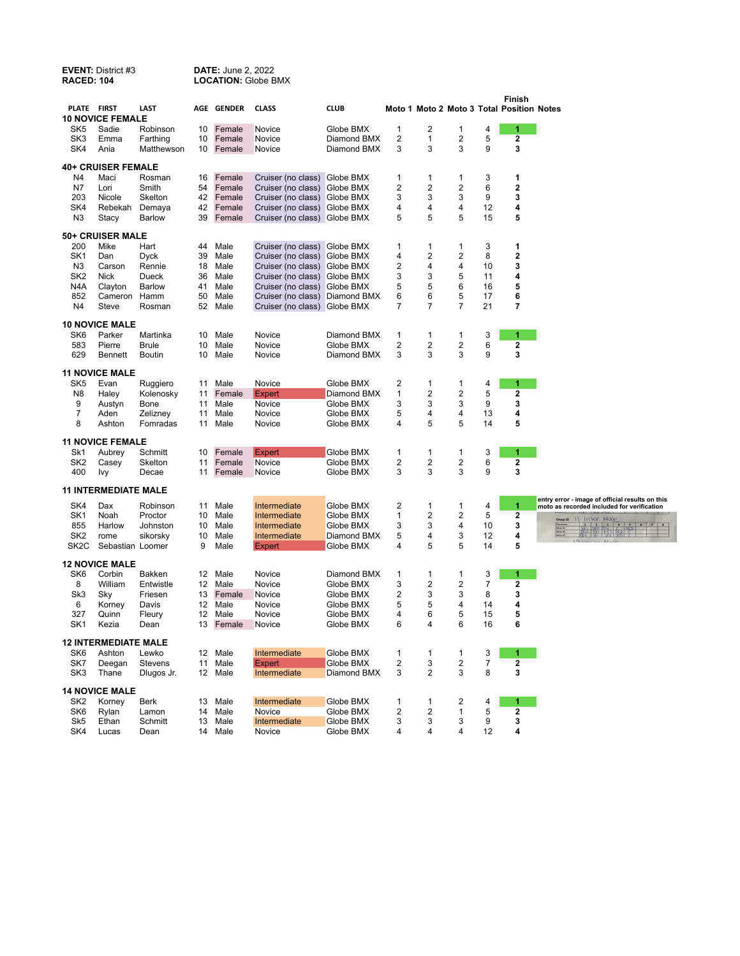| <b>RACED: 104</b>      | <b>EVENT: District #3</b>   |                        |                 | <b>DATE: June 2, 2022</b> | <b>LOCATION: Globe BMX</b>                                     |                          |                              |        |                         |          |                                                     |                                                                                                                                                                                                                                             |
|------------------------|-----------------------------|------------------------|-----------------|---------------------------|----------------------------------------------------------------|--------------------------|------------------------------|--------|-------------------------|----------|-----------------------------------------------------|---------------------------------------------------------------------------------------------------------------------------------------------------------------------------------------------------------------------------------------------|
| PLATE FIRST            |                             | LAST                   |                 | <b>AGE GENDER</b>         | <b>CLASS</b>                                                   | <b>CLUB</b>              |                              |        |                         |          | Finish<br>Moto 1 Moto 2 Moto 3 Total Position Notes |                                                                                                                                                                                                                                             |
|                        | <b>10 NOVICE FEMALE</b>     |                        |                 |                           |                                                                |                          |                              |        |                         |          |                                                     |                                                                                                                                                                                                                                             |
| SK5                    | Sadie                       | Robinson               | 10              | Female                    | Novice                                                         | Globe BMX                | 1                            | 2      | 1                       | 4        | 1                                                   |                                                                                                                                                                                                                                             |
| SK3                    | Emma                        | Farthing               | 10              | Female                    | Novice                                                         | Diamond BMX              | 2                            | 1      | $\overline{2}$          | 5        | $\mathbf 2$                                         |                                                                                                                                                                                                                                             |
| SK4                    | Ania                        | Matthewson             |                 | 10 Female                 | Novice                                                         | Diamond BMX              | 3                            | 3      | 3                       | 9        | 3                                                   |                                                                                                                                                                                                                                             |
|                        | <b>40+ CRUISER FEMALE</b>   |                        |                 |                           |                                                                |                          |                              |        |                         |          |                                                     |                                                                                                                                                                                                                                             |
| N4                     | Maci                        | Rosman                 | 16              | Female                    | Cruiser (no class)                                             | Globe BMX                | 1                            | 1      | 1                       | 3        | $\mathbf{1}$                                        |                                                                                                                                                                                                                                             |
| N7                     | Lori                        | Smith                  | 54              | Female                    | Cruiser (no class) Globe BMX                                   |                          | 2                            | 2      | 2                       | 6        | $\mathbf 2$                                         |                                                                                                                                                                                                                                             |
| 203                    | Nicole                      | Skelton                | 42              | Female                    | Cruiser (no class) Globe BMX                                   |                          | 3                            | 3      | 3                       | 9        | 3                                                   |                                                                                                                                                                                                                                             |
| SK4                    | Rebekah                     | Demaya                 | 42              | Female                    | Cruiser (no class) Globe BMX                                   |                          | 4                            | 4      | 4                       | 12       | 4                                                   |                                                                                                                                                                                                                                             |
| N <sub>3</sub>         | Stacy                       | Barlow                 | 39              | Female                    | Cruiser (no class) Globe BMX                                   |                          | 5                            | 5      | 5                       | 15       | 5                                                   |                                                                                                                                                                                                                                             |
|                        | 50+ CRUISER MALE            |                        |                 |                           |                                                                |                          |                              |        |                         |          |                                                     |                                                                                                                                                                                                                                             |
| 200                    | Mike                        | Hart                   | 44              | Male                      | Cruiser (no class)                                             | Globe BMX                | 1                            | 1      | 1                       | 3        | 1                                                   |                                                                                                                                                                                                                                             |
| SK <sub>1</sub>        | Dan                         | <b>Dyck</b>            | 39              | Male                      | Cruiser (no class) Globe BMX                                   |                          | 4                            | 2      | 2                       | 8        | $\overline{\mathbf{2}}$                             |                                                                                                                                                                                                                                             |
| N3                     | Carson                      | Rennie                 | 18              | Male                      | Cruiser (no class) Globe BMX                                   |                          | $\overline{2}$               | 4      | 4                       | 10       | 3                                                   |                                                                                                                                                                                                                                             |
| SK <sub>2</sub>        | <b>Nick</b>                 | Dueck                  | 36              | Male                      | Cruiser (no class) Globe BMX                                   |                          | 3                            | 3      | 5                       | 11       | 4                                                   |                                                                                                                                                                                                                                             |
| N4A                    | Clayton                     | <b>Barlow</b>          | 41              | Male                      | Cruiser (no class) Globe BMX                                   |                          | 5                            | 5      | 6                       | 16       | 5                                                   |                                                                                                                                                                                                                                             |
| 852<br>N4              | Cameron<br>Steve            | Hamm<br>Rosman         | 50<br>52        | Male<br>Male              | Cruiser (no class) Diamond BMX<br>Cruiser (no class) Globe BMX |                          | 6<br>$\overline{7}$          | 6<br>7 | 5<br>$\overline{7}$     | 17<br>21 | 6<br>7                                              |                                                                                                                                                                                                                                             |
|                        |                             |                        |                 |                           |                                                                |                          |                              |        |                         |          |                                                     |                                                                                                                                                                                                                                             |
|                        | <b>10 NOVICE MALE</b>       |                        |                 |                           |                                                                |                          |                              |        |                         |          |                                                     |                                                                                                                                                                                                                                             |
| SK <sub>6</sub>        | Parker                      | Martinka               | 10              | Male                      | Novice                                                         | Diamond BMX              | $\mathbf{1}$                 | 1      | 1                       | 3        | -1                                                  |                                                                                                                                                                                                                                             |
| 583<br>629             | Pierre<br>Bennett           | <b>Brule</b><br>Boutin | 10<br>10        | Male<br>Male              | Novice<br>Novice                                               | Globe BMX<br>Diamond BMX | $\overline{\mathbf{c}}$<br>3 | 2<br>3 | $\overline{2}$<br>3     | 6<br>9   | $\mathbf 2$<br>3                                    |                                                                                                                                                                                                                                             |
|                        |                             |                        |                 |                           |                                                                |                          |                              |        |                         |          |                                                     |                                                                                                                                                                                                                                             |
|                        | <b>11 NOVICE MALE</b>       |                        |                 |                           |                                                                |                          |                              |        |                         |          |                                                     |                                                                                                                                                                                                                                             |
| SK <sub>5</sub>        | Evan                        | Ruggiero               | 11              | Male                      | Novice                                                         | Globe BMX                | 2                            | 1      | 1                       | 4        | 1                                                   |                                                                                                                                                                                                                                             |
| N8                     | Haley                       | Kolenosky              | 11              | Female                    | <b>Expert</b>                                                  | Diamond BMX              | 1                            | 2      | $\overline{\mathbf{c}}$ | 5        | $\overline{\mathbf{2}}$                             |                                                                                                                                                                                                                                             |
| 9                      | Austyn                      | Bone                   | 11              | Male                      | Novice                                                         | Globe BMX                | 3                            | 3      | 3                       | 9        | 3                                                   |                                                                                                                                                                                                                                             |
| $\overline{7}$<br>8    | Aden<br>Ashton              | Zelizney<br>Fomradas   | 11<br>11        | Male<br>Male              | Novice<br>Novice                                               | Globe BMX<br>Globe BMX   | 5<br>4                       | 4<br>5 | 4<br>5                  | 13<br>14 | 4<br>5                                              |                                                                                                                                                                                                                                             |
|                        |                             |                        |                 |                           |                                                                |                          |                              |        |                         |          |                                                     |                                                                                                                                                                                                                                             |
|                        | <b>11 NOVICE FEMALE</b>     |                        |                 |                           |                                                                |                          |                              |        |                         |          |                                                     |                                                                                                                                                                                                                                             |
| Sk1                    | Aubrey                      | Schmitt<br>Skelton     | 10<br>11        | Female<br>Female          | Expert                                                         | Globe BMX<br>Globe BMX   | 1<br>$\overline{\mathbf{c}}$ | 1<br>2 | 1<br>2                  | 3<br>6   | 1<br>$\mathbf 2$                                    |                                                                                                                                                                                                                                             |
| SK <sub>2</sub><br>400 | Casey<br>Ivy                | Decae                  | 11              | Female                    | Novice<br>Novice                                               | Globe BMX                | 3                            | 3      | 3                       | 9        | 3                                                   |                                                                                                                                                                                                                                             |
|                        | <b>11 INTERMEDIATE MALE</b> |                        |                 |                           |                                                                |                          |                              |        |                         |          |                                                     |                                                                                                                                                                                                                                             |
| SK4                    | Dax                         | Robinson               | 11              | Male                      | Intermediate                                                   | Globe BMX                | 2                            | 1      | 1                       | 4        | 1                                                   | entry error - image of official results on this                                                                                                                                                                                             |
| SK <sub>1</sub>        | Noah                        | Proctor                | 10              | Male                      | Intermediate                                                   | Globe BMX                | 1                            | 2      | 2                       | 5        | $\mathbf{2}$                                        | moto as recorded included for verification                                                                                                                                                                                                  |
| 855                    | Harlow                      | Johnston               | 10              | Male                      | Intermediate                                                   | Globe BMX                | 3                            | 3      | 4                       | 10       | 3                                                   | Il Inter Male<br>Group 18                                                                                                                                                                                                                   |
| SK <sub>2</sub>        | rome                        | sikorsky               | 10              | Male                      | Intermediate                                                   | Diamond BMX              | 5                            | 4      | 3                       | 12       | 4                                                   | $\begin{array}{ c c c c c c c } \hline 1 & 2 & 3 & 4 & 5 & 6 & 7 & 8 \\ \hline 581 & 581 & 855 & 6 & 382 & 6 & 7 & 8 \\ \hline 587 & 587 & 855 & 853 & 6 & 8 & 7 & 8 \\ \hline 597 & 597 & 893 & 855 & 6 & 8 & 8 & 8 \\ \hline \end{array}$ |
| SK <sub>2</sub> C      | Sebastian Loomer            |                        | 9               | Male                      | Expert                                                         | Globe BMX                | 4                            | 5      | 5                       | 14       | 5                                                   | $\lambda_0$ Mail                                                                                                                                                                                                                            |
|                        | <b>12 NOVICE MALE</b>       |                        |                 |                           |                                                                |                          |                              |        |                         |          |                                                     |                                                                                                                                                                                                                                             |
| SK <sub>6</sub>        | Corbin                      | <b>Bakken</b>          | 12              | Male                      | Novice                                                         | Diamond BMX              | 1                            | 1      | 1                       | 3        | 1                                                   |                                                                                                                                                                                                                                             |
| 8                      | William                     | Entwistle              | 12              | Male                      | Novice                                                         | Globe BMX                | 3                            | 2      | 2                       | 7        | $\mathbf 2$                                         |                                                                                                                                                                                                                                             |
| Sk3                    | Sky                         | Friesen                | 13              | Female                    | Novice                                                         | Globe BMX                | 2                            | 3      | 3                       | 8        | 3                                                   |                                                                                                                                                                                                                                             |
| 6                      | Korney                      | Davis                  | 12              | Male                      | Novice                                                         | Globe BMX                | 5                            | 5      | 4                       | 14       | 4                                                   |                                                                                                                                                                                                                                             |
| 327                    | Quinn                       | Fleury                 | 12 <sup>2</sup> | Male                      | Novice                                                         | Globe BMX                | 4                            | 6      | 5                       | 15       | 5                                                   |                                                                                                                                                                                                                                             |
| SK <sub>1</sub>        | Kezia                       | Dean                   |                 | 13 Female                 | Novice                                                         | Globe BMX                | 6                            | 4      | 6                       | 16       | 6                                                   |                                                                                                                                                                                                                                             |
|                        | <b>12 INTERMEDIATE MALE</b> |                        |                 |                           |                                                                |                          |                              |        |                         |          |                                                     |                                                                                                                                                                                                                                             |
| SK6                    | Ashton                      | Lewko                  | 12 <sup>2</sup> | Male                      | Intermediate                                                   | Globe BMX                | 1                            | 1      | 1                       | 3        | 1                                                   |                                                                                                                                                                                                                                             |
| SK7                    | Deegan                      | Stevens                | 11              | Male                      | <b>Expert</b>                                                  | Globe BMX                | 2                            | 3      | 2                       | 7        | 2                                                   |                                                                                                                                                                                                                                             |
| SK3                    | Thane                       | Dlugos Jr.             | 12 <sup>2</sup> | Male                      | Intermediate                                                   | Diamond BMX              | 3                            | 2      | 3                       | 8        | 3                                                   |                                                                                                                                                                                                                                             |
|                        | <b>14 NOVICE MALE</b>       |                        |                 |                           |                                                                |                          |                              |        |                         |          |                                                     |                                                                                                                                                                                                                                             |
| SK <sub>2</sub>        | Korney                      | Berk                   | 13              | Male                      | Intermediate                                                   | Globe BMX                | 1                            | 1      | 2                       | 4        | 1                                                   |                                                                                                                                                                                                                                             |
| SK6                    | Rylan                       | Lamon                  | 14              | Male                      | Novice                                                         | Globe BMX                | 2                            | 2      | 1                       | 5        | $\mathbf 2$                                         |                                                                                                                                                                                                                                             |
| Sk5                    | Ethan                       | Schmitt                | 13              | Male                      | Intermediate                                                   | Globe BMX                | 3                            | 3      | 3                       | 9        | 3                                                   |                                                                                                                                                                                                                                             |
| SK4                    | Lucas                       | Dean                   | 14              | Male                      | Novice                                                         | Globe BMX                | 4                            | 4      | 4                       | 12       | 4                                                   |                                                                                                                                                                                                                                             |